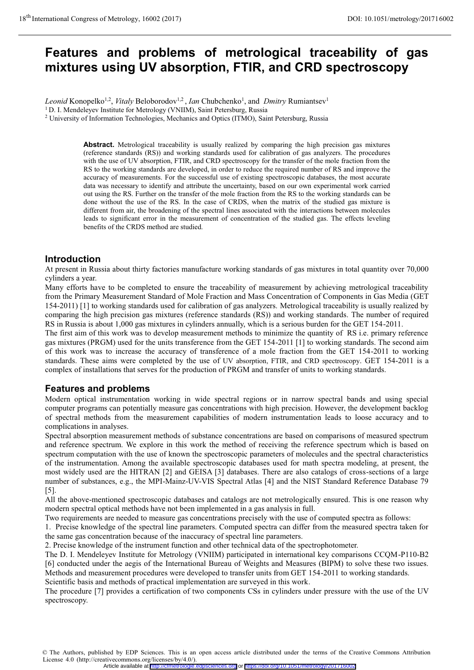# **Features and problems of metrological traceability of gas mixtures using UV absorption, FTIR, and CRD spectroscopy**

*Leonid* Konopelko<sup>1,2</sup>, *Vitaly* Beloborodov<sup>1,2</sup>, *Ian* Chubchenko<sup>1</sup>, and *Dmitry* Rumiantsev<sup>1</sup> <sup>1</sup> D. I. Mendeleyev Institute for Metrology (VNIIM), Saint Petersburg, Russia

<sup>2</sup> University of Information Technologies, Mechanics and Optics (ITMO), Saint Petersburg, Russia

**Abstract.** Metrological traceability is usually realized by comparing the high precision gas mixtures (reference standards (RS)) and working standards used for calibration of gas analyzers. The procedures with the use of UV absorption, FTIR, and CRD spectroscopy for the transfer of the mole fraction from the RS to the working standards are developed, in order to reduce the required number of RS and improve the accuracy of measurements. For the successful use of existing spectroscopic databases, the most accurate data was necessary to identify and attribute the uncertainty, based on our own experimental work carried out using the RS. Further on the transfer of the mole fraction from the RS to the working standards can be done without the use of the RS. In the case of CRDS, when the matrix of the studied gas mixture is different from air, the broadening of the spectral lines associated with the interactions between molecules leads to significant error in the measurement of concentration of the studied gas. The effects leveling benefits of the CRDS method are studied.

### **Introduction**

At present in Russia about thirty factories manufacture working standards of gas mixtures in total quantity over 70,000 cylinders a year.

Many efforts have to be completed to ensure the traceability of measurement by achieving metrological traceability from the Primary Measurement Standard of Mole Fraction and Mass Concentration of Components in Gas Media (GET 154-2011) [1] to working standards used for calibration of gas analyzers. Metrological traceability is usually realized by comparing the high precision gas mixtures (reference standards (RS)) and working standards. The number of required RS in Russia is about 1,000 gas mixtures in cylinders annually, which is a serious burden for the GET 154-2011.

The first aim of this work was to develop measurement methods to minimize the quantity of RS i.e. primary reference gas mixtures (PRGM) used for the units transference from the GET 154-2011 [1] to working standards. The second aim of this work was to increase the accuracy of transference of a mole fraction from the GET 154-2011 to working standards. These aims were completed by the use of UV absorption, FTIR, and CRD spectroscopy. GET 154-2011 is a complex of installations that serves for the production of PRGM and transfer of units to working standards.

### **Features and problems**

Modern optical instrumentation working in wide spectral regions or in narrow spectral bands and using special computer programs can potentially measure gas concentrations with high precision. However, the development backlog of spectral methods from the measurement capabilities of modern instrumentation leads to loose accuracy and to complications in analyses.

Spectral absorption measurement methods of substance concentrations are based on comparisons of measured spectrum and reference spectrum. We explore in this work the method of receiving the reference spectrum which is based on spectrum computation with the use of known the spectroscopic parameters of molecules and the spectral characteristics of the instrumentation. Among the available spectroscopic databases used for math spectra modeling, at present, the most widely used are the HITRAN [2] and GEISA [3] databases. There are also catalogs of cross-sections of a large number of substances, e.g., the MPI-Mainz-UV-VIS Spectral Atlas [4] and the NIST Standard Reference Database 79 [5].

All the above-mentioned spectroscopic databases and catalogs are not metrologically ensured. This is one reason why modern spectral optical methods have not been implemented in a gas analysis in full.

Two requirements are needed to measure gas concentrations precisely with the use of computed spectra as follows:

1. Precise knowledge of the spectral line parameters. Computed spectra can differ from the measured spectra taken for the same gas concentration because of the inaccuracy of spectral line parameters.

2. Precise knowledge of the instrument function and other technical data of the spectrophotometer.

The D. I. Mendeleyev Institute for Metrology (VNIIM) participated in international key comparisons CCQM-P110-B2 [6] conducted under the aegis of the International Bureau of Weights and Measures (BIPM) to solve these two issues. Methods and measurement procedures were developed to transfer units from GET 154-2011 to working standards. Scientific basis and methods of practical implementation are surveyed in this work.

The procedure [7] provides a certification of two components CSs in cylinders under pressure with the use of the UV spectroscopy.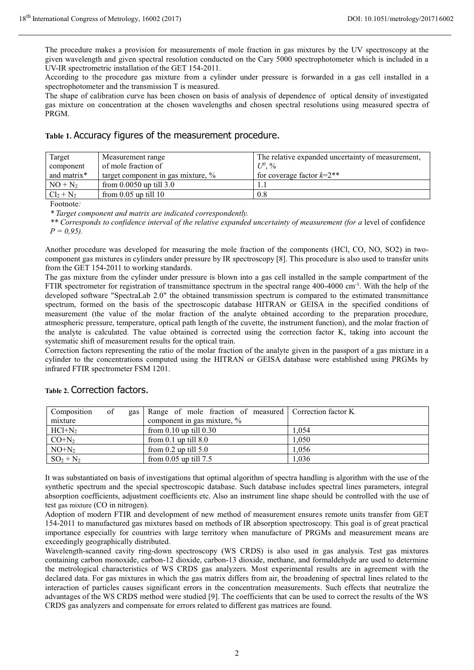The procedure makes a provision for measurements of mole fraction in gas mixtures by the UV spectroscopy at the given wavelength and given spectral resolution conducted on the Cary 5000 spectrophotometer which is included in a UV-IR spectrometric installation of the GET 154-2011.

According to the procedure gas mixture from a cylinder under pressure is forwarded in a gas cell installed in a spectrophotometer and the transmission T is measured.

The shape of calibration curve has been chosen on basis of analysis of dependence of optical density of investigated gas mixture on concentration at the chosen wavelengths and chosen spectral resolutions using measured spectra of PRGM.

**Table 1.** Accuracy figures of the measurement procedure.

| Target       | Measurement range                     | The relative expanded uncertainty of measurement, |  |
|--------------|---------------------------------------|---------------------------------------------------|--|
| component    | of mole fraction of                   | $U^0$ , %                                         |  |
| and matrix*  | target component in gas mixture, $\%$ | for coverage factor $k=2$ <sup>**</sup>           |  |
| $NO + N2$    | from $0.0050$ up till $3.0$           |                                                   |  |
| $Cl_2 + N_2$ | from $0.05$ up till $10$              | 0.8                                               |  |

Footnote*:*

*\* Target component and matrix are indicated correspondently.* 

\*\* Corresponds to confidence interval of the relative expanded uncertainty of measurement (for a level of confidence  $P = 0.95$ .

Another procedure was developed for measuring the mole fraction of the components (НCl, CO, NO, SO2) in twocomponent gas mixtures in cylinders under pressure by IR spectroscopy [8]. This procedure is also used to transfer units from the GET 154-2011 to working standards.

The gas mixture from the cylinder under pressure is blown into a gas cell installed in the sample compartment of the FTIR spectrometer for registration of transmittance spectrum in the spectral range  $400-4000$  cm<sup>-1</sup>. With the help of the developed software "SpectraLab 2.0" the obtained transmission spectrum is compared to the estimated transmittance spectrum, formed on the basis of the spectroscopic database HITRAN or GEISA in the specified conditions of measurement (the value of the molar fraction of the analyte obtained according to the preparation procedure, atmospheric pressure, temperature, optical path length of the cuvette, the instrument function), and the molar fraction of the analyte is calculated. The value obtained is corrected using the correction factor K, taking into account the systematic shift of measurement results for the optical train.

Correction factors representing the ratio of the molar fraction of the analyte given in the passport of a gas mixture in a cylinder to the concentrations computed using the HITRAN or GEISA database were established using PRGMs by infrared FTIR spectrometer FSM 1201.

| Composition  | of | gas   Range of mole fraction of measured   Correction factor K |       |
|--------------|----|----------------------------------------------------------------|-------|
| mixture      |    | component in gas mixture, %                                    |       |
| $HC1+N2$     |    | from $0.10$ up till $0.30$                                     | 1.054 |
| $CO+N2$      |    | from $0.1$ up till $8.0$                                       | 1.050 |
| $NO+N2$      |    | from $0.2$ up till $5.0$                                       | 1.056 |
| $SO_2 + N_2$ |    | from $0.05$ up till $7.5$                                      | 1.036 |

### Table 2. Correction factors.

It was substantiated on basis of investigations that optimal algorithm of spectra handling is algorithm with the use of the synthetic spectrum and the special spectroscopic database. Such database includes spectral lines parameters, integral absorption coefficients, adjustment coefficients etc. Also an instrument line shape should be controlled with the use of test gas mixture (CO in nitrogen).

Adoption of modern FTIR and development of new method of measurement ensures remote units transfer from GET 154-2011 to manufactured gas mixtures based on methods of IR absorption spectroscopy. This goal is of great practical importance especially for countries with large territory when manufacture of PRGMs and measurement means are exceedingly geographically distributed.

Wavelength-scanned cavity ring-down spectroscopy (WS CRDS) is also used in gas analysis. Test gas mixtures containing carbon monoxide, carbon-12 dioxide, carbon-13 dioxide, methane, and formaldehyde are used to determine the metrological characteristics of WS CRDS gas analyzers. Most experimental results are in agreement with the declared data. For gas mixtures in which the gas matrix differs from air, the broadening of spectral lines related to the interaction of particles causes significant errors in the concentration measurements. Such effects that neutralize the advantages of the WS CRDS method were studied [9]. The coefficients that can be used to correct the results of the WS CRDS gas analyzers and compensate for errors related to different gas matrices are found.